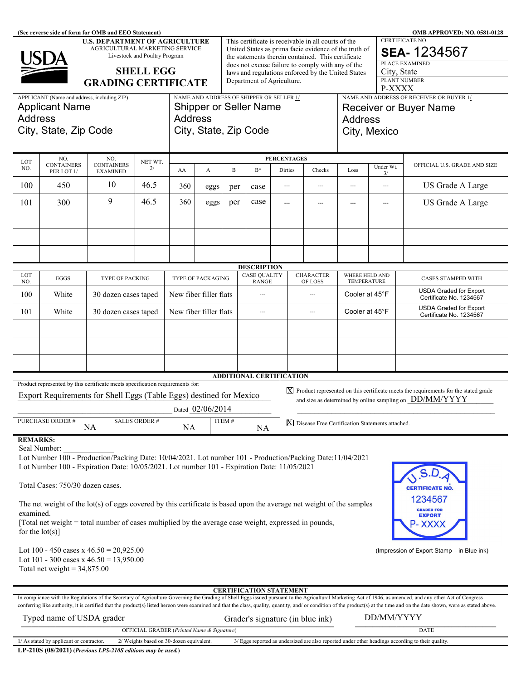| (See reverse side of form for OMB and EEO Statement)<br><b>OMB APPROVED: NO. 0581-0128</b><br><b>U.S. DEPARTMENT OF AGRICULTURE</b>                                                                     |                                                                                                                                      |                               |                                                                                      |                        |                                                                                                         |                                                                                                |                                           |                        |                   |                                  |                                             |                         |                                                                                                                                                                                                                                |
|---------------------------------------------------------------------------------------------------------------------------------------------------------------------------------------------------------|--------------------------------------------------------------------------------------------------------------------------------------|-------------------------------|--------------------------------------------------------------------------------------|------------------------|---------------------------------------------------------------------------------------------------------|------------------------------------------------------------------------------------------------|-------------------------------------------|------------------------|-------------------|----------------------------------|---------------------------------------------|-------------------------|--------------------------------------------------------------------------------------------------------------------------------------------------------------------------------------------------------------------------------|
|                                                                                                                                                                                                         | This certificate is receivable in all courts of the<br>United States as prima facie evidence of the truth of                         |                               |                                                                                      |                        |                                                                                                         |                                                                                                |                                           | <b>CERTIFICATE NO.</b> |                   |                                  |                                             |                         |                                                                                                                                                                                                                                |
|                                                                                                                                                                                                         | USDA                                                                                                                                 | Livestock and Poultry Program | AGRICULTURAL MARKETING SERVICE<br>the statements therein contained. This certificate |                        |                                                                                                         |                                                                                                |                                           |                        |                   |                                  | <b>SEA-1234567</b><br><b>PLACE EXAMINED</b> |                         |                                                                                                                                                                                                                                |
| <b>SHELL EGG</b>                                                                                                                                                                                        |                                                                                                                                      |                               |                                                                                      |                        | does not excuse failure to comply with any of the<br>laws and regulations enforced by the United States |                                                                                                |                                           |                        |                   |                                  |                                             | City, State             |                                                                                                                                                                                                                                |
|                                                                                                                                                                                                         |                                                                                                                                      |                               | Department of Agriculture.<br><b>GRADING CERTIFICATE</b>                             |                        |                                                                                                         |                                                                                                |                                           |                        |                   |                                  | PLANT NUMBER                                |                         |                                                                                                                                                                                                                                |
|                                                                                                                                                                                                         | APPLICANT (Name and address, including ZIP)                                                                                          |                               |                                                                                      |                        |                                                                                                         | P-XXXX<br>NAME AND ADDRESS OF SHIPPER OR SELLER 1/<br>NAME AND ADDRESS OF RECEIVER OR BUYER 1/ |                                           |                        |                   |                                  |                                             |                         |                                                                                                                                                                                                                                |
|                                                                                                                                                                                                         | <b>Applicant Name</b>                                                                                                                |                               |                                                                                      |                        | <b>Shipper or Seller Name</b>                                                                           |                                                                                                |                                           |                        |                   |                                  |                                             |                         | <b>Receiver or Buyer Name</b>                                                                                                                                                                                                  |
| <b>Address</b>                                                                                                                                                                                          |                                                                                                                                      |                               |                                                                                      | <b>Address</b>         |                                                                                                         |                                                                                                |                                           |                        | Address           |                                  |                                             |                         |                                                                                                                                                                                                                                |
|                                                                                                                                                                                                         | City, State, Zip Code                                                                                                                |                               |                                                                                      | City, State, Zip Code  |                                                                                                         |                                                                                                |                                           |                        |                   |                                  | City, Mexico                                |                         |                                                                                                                                                                                                                                |
|                                                                                                                                                                                                         |                                                                                                                                      |                               |                                                                                      |                        |                                                                                                         |                                                                                                |                                           |                        |                   |                                  |                                             |                         |                                                                                                                                                                                                                                |
| LOT                                                                                                                                                                                                     | NO.<br><b>CONTAINERS</b>                                                                                                             | NO.<br><b>CONTAINERS</b>      | NET WT.                                                                              |                        |                                                                                                         | <b>PERCENTAGES</b>                                                                             |                                           |                        | Under Wt.         |                                  | OFFICIAL U.S. GRADE AND SIZE                |                         |                                                                                                                                                                                                                                |
| NO.                                                                                                                                                                                                     | PER LOT 1/                                                                                                                           | <b>EXAMINED</b>               | 2/                                                                                   | AA                     | A                                                                                                       | B                                                                                              | $B^*$                                     |                        | Dirties<br>Checks |                                  | Loss                                        | 3/                      |                                                                                                                                                                                                                                |
| 100                                                                                                                                                                                                     | 450                                                                                                                                  | 10                            | 46.5                                                                                 | 360                    | eggs                                                                                                    | per                                                                                            | case                                      | ---                    |                   | $\overline{\phantom{a}}$         | ---                                         | $\overline{a}$          | US Grade A Large                                                                                                                                                                                                               |
| 101                                                                                                                                                                                                     | 300                                                                                                                                  | 9                             | 46.5                                                                                 | 360                    | eggs                                                                                                    | per                                                                                            | case                                      | $\overline{a}$         |                   | $\overline{\phantom{a}}$         | ---                                         | $\overline{a}$          | US Grade A Large                                                                                                                                                                                                               |
|                                                                                                                                                                                                         |                                                                                                                                      |                               |                                                                                      |                        |                                                                                                         |                                                                                                |                                           |                        |                   |                                  |                                             |                         |                                                                                                                                                                                                                                |
|                                                                                                                                                                                                         |                                                                                                                                      |                               |                                                                                      |                        |                                                                                                         |                                                                                                |                                           |                        |                   |                                  |                                             |                         |                                                                                                                                                                                                                                |
|                                                                                                                                                                                                         |                                                                                                                                      |                               |                                                                                      |                        |                                                                                                         |                                                                                                |                                           |                        |                   |                                  |                                             |                         |                                                                                                                                                                                                                                |
|                                                                                                                                                                                                         |                                                                                                                                      |                               |                                                                                      |                        |                                                                                                         |                                                                                                |                                           |                        |                   |                                  |                                             |                         |                                                                                                                                                                                                                                |
| LOT                                                                                                                                                                                                     | EGGS                                                                                                                                 |                               |                                                                                      |                        |                                                                                                         |                                                                                                | <b>DESCRIPTION</b><br><b>CASE QUALITY</b> |                        |                   | <b>CHARACTER</b>                 | WHERE HELD AND                              |                         |                                                                                                                                                                                                                                |
| NO.                                                                                                                                                                                                     |                                                                                                                                      | TYPE OF PACKING               |                                                                                      | TYPE OF PACKAGING      |                                                                                                         | <b>RANGE</b>                                                                                   |                                           |                        | OF LOSS           |                                  | TEMPERATURE                                 |                         | CASES STAMPED WITH<br><b>USDA Graded for Export</b>                                                                                                                                                                            |
| 100                                                                                                                                                                                                     | White                                                                                                                                | 30 dozen cases taped          |                                                                                      | New fiber filler flats | ---                                                                                                     |                                                                                                |                                           | ---                    |                   | Cooler at 45°F                   |                                             | Certificate No. 1234567 |                                                                                                                                                                                                                                |
| 101                                                                                                                                                                                                     | White                                                                                                                                | 30 dozen cases taped          |                                                                                      | New fiber filler flats |                                                                                                         |                                                                                                | $---$                                     |                        |                   | $\overline{a}$                   |                                             | Cooler at 45°F          | <b>USDA Graded for Export</b><br>Certificate No. 1234567                                                                                                                                                                       |
|                                                                                                                                                                                                         |                                                                                                                                      |                               |                                                                                      |                        |                                                                                                         |                                                                                                |                                           |                        |                   |                                  |                                             |                         |                                                                                                                                                                                                                                |
|                                                                                                                                                                                                         |                                                                                                                                      |                               |                                                                                      |                        |                                                                                                         |                                                                                                |                                           |                        |                   |                                  |                                             |                         |                                                                                                                                                                                                                                |
|                                                                                                                                                                                                         |                                                                                                                                      |                               |                                                                                      |                        |                                                                                                         |                                                                                                |                                           |                        |                   |                                  |                                             |                         |                                                                                                                                                                                                                                |
|                                                                                                                                                                                                         |                                                                                                                                      |                               |                                                                                      |                        |                                                                                                         |                                                                                                |                                           |                        |                   |                                  |                                             |                         |                                                                                                                                                                                                                                |
|                                                                                                                                                                                                         | Product represented by this certificate meets specification requirements for:                                                        |                               |                                                                                      |                        |                                                                                                         |                                                                                                | <b>ADDITIONAL CERTIFICATION</b>           |                        |                   |                                  |                                             |                         |                                                                                                                                                                                                                                |
|                                                                                                                                                                                                         | Export Requirements for Shell Eggs (Table Eggs) destined for Mexico                                                                  |                               |                                                                                      |                        |                                                                                                         |                                                                                                |                                           |                        |                   |                                  |                                             |                         | $\chi$ Product represented on this certificate meets the requirements for the stated grade<br>and size as determined by online sampling on DD/MM/YYYY                                                                          |
|                                                                                                                                                                                                         |                                                                                                                                      |                               |                                                                                      |                        | Dated 02/06/2014                                                                                        |                                                                                                |                                           |                        |                   |                                  |                                             |                         |                                                                                                                                                                                                                                |
| PURCHASE ORDER #<br><b>SALES ORDER#</b><br>ITEM#<br><b>X</b> Disease Free Certification Statements attached.<br>NA<br>NA<br><b>NA</b>                                                                   |                                                                                                                                      |                               |                                                                                      |                        |                                                                                                         |                                                                                                |                                           |                        |                   |                                  |                                             |                         |                                                                                                                                                                                                                                |
| <b>REMARKS:</b>                                                                                                                                                                                         |                                                                                                                                      |                               |                                                                                      |                        |                                                                                                         |                                                                                                |                                           |                        |                   |                                  |                                             |                         |                                                                                                                                                                                                                                |
| Seal Number:                                                                                                                                                                                            |                                                                                                                                      |                               |                                                                                      |                        |                                                                                                         |                                                                                                |                                           |                        |                   |                                  |                                             |                         |                                                                                                                                                                                                                                |
| Lot Number 100 - Production/Packing Date: 10/04/2021. Lot number 101 - Production/Packing Date:11/04/2021<br>Lot Number 100 - Expiration Date: 10/05/2021. Lot number 101 - Expiration Date: 11/05/2021 |                                                                                                                                      |                               |                                                                                      |                        |                                                                                                         |                                                                                                |                                           |                        |                   |                                  |                                             |                         |                                                                                                                                                                                                                                |
|                                                                                                                                                                                                         |                                                                                                                                      |                               |                                                                                      |                        |                                                                                                         |                                                                                                |                                           |                        |                   |                                  |                                             |                         |                                                                                                                                                                                                                                |
| Total Cases: 750/30 dozen cases.<br><b>CERTIFICATE NO.</b>                                                                                                                                              |                                                                                                                                      |                               |                                                                                      |                        |                                                                                                         |                                                                                                |                                           |                        |                   |                                  |                                             |                         |                                                                                                                                                                                                                                |
| 1234567<br>The net weight of the lot(s) of eggs covered by this certificate is based upon the average net weight of the samples                                                                         |                                                                                                                                      |                               |                                                                                      |                        |                                                                                                         |                                                                                                |                                           |                        |                   |                                  |                                             |                         |                                                                                                                                                                                                                                |
| <b>GRADED FOR</b><br>examined.<br><b>EXPORT</b>                                                                                                                                                         |                                                                                                                                      |                               |                                                                                      |                        |                                                                                                         |                                                                                                |                                           |                        |                   |                                  |                                             |                         |                                                                                                                                                                                                                                |
| [Total net weight = total number of cases multiplied by the average case weight, expressed in pounds,<br>- XXX.<br>for the $lot(s)$ ]                                                                   |                                                                                                                                      |                               |                                                                                      |                        |                                                                                                         |                                                                                                |                                           |                        |                   |                                  |                                             |                         |                                                                                                                                                                                                                                |
|                                                                                                                                                                                                         |                                                                                                                                      |                               |                                                                                      |                        |                                                                                                         |                                                                                                |                                           |                        |                   |                                  |                                             |                         |                                                                                                                                                                                                                                |
|                                                                                                                                                                                                         | Lot 100 - 450 cases x $46.50 = 20,925.00$<br>(Impression of Export Stamp - in Blue ink)<br>Lot 101 - 300 cases x $46.50 = 13,950.00$ |                               |                                                                                      |                        |                                                                                                         |                                                                                                |                                           |                        |                   |                                  |                                             |                         |                                                                                                                                                                                                                                |
| Total net weight = $34,875.00$                                                                                                                                                                          |                                                                                                                                      |                               |                                                                                      |                        |                                                                                                         |                                                                                                |                                           |                        |                   |                                  |                                             |                         |                                                                                                                                                                                                                                |
|                                                                                                                                                                                                         |                                                                                                                                      |                               |                                                                                      |                        |                                                                                                         |                                                                                                |                                           |                        |                   |                                  |                                             |                         |                                                                                                                                                                                                                                |
|                                                                                                                                                                                                         |                                                                                                                                      |                               |                                                                                      |                        |                                                                                                         |                                                                                                | <b>CERTIFICATION STATEMENT</b>            |                        |                   |                                  |                                             |                         | In compliance with the Regulations of the Secretary of Agriculture Governing the Grading of Shell Eggs issued pursuant to the Agricultural Marketing Act of 1946, as amended, and any other Act of Congress                    |
|                                                                                                                                                                                                         |                                                                                                                                      |                               |                                                                                      |                        |                                                                                                         |                                                                                                |                                           |                        |                   |                                  |                                             |                         | conferring like authority, it is certified that the product(s) listed hereon were examined and that the class, quality, quantity, and/ or condition of the product(s) at the time and on the date shown, were as stated above. |
|                                                                                                                                                                                                         | Typed name of USDA grader                                                                                                            |                               |                                                                                      |                        |                                                                                                         |                                                                                                |                                           |                        |                   | Grader's signature (in blue ink) |                                             | DD/MM/YYYY              |                                                                                                                                                                                                                                |
|                                                                                                                                                                                                         | OFFICIAL GRADER (Printed Name & Signature)<br>DATE                                                                                   |                               |                                                                                      |                        |                                                                                                         |                                                                                                |                                           |                        |                   |                                  |                                             |                         |                                                                                                                                                                                                                                |

**LP-210S (08/2021) (***Previous LPS-210S editions may be used.***)**